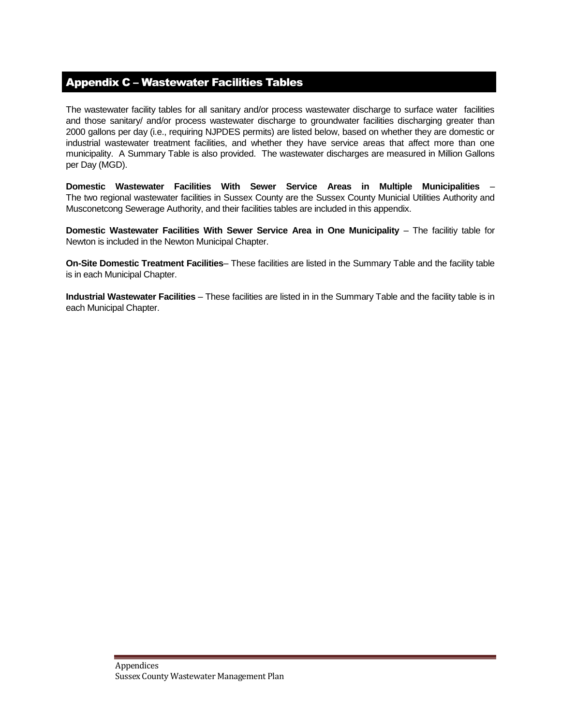## Appendix C – Wastewater Facilities Tables

The wastewater facility tables for all sanitary and/or process wastewater discharge to surface water facilities and those sanitary/ and/or process wastewater discharge to groundwater facilities discharging greater than 2000 gallons per day (i.e., requiring NJPDES permits) are listed below, based on whether they are domestic or industrial wastewater treatment facilities, and whether they have service areas that affect more than one municipality. A Summary Table is also provided. The wastewater discharges are measured in Million Gallons per Day (MGD).

**Domestic Wastewater Facilities With Sewer Service Areas in Multiple Municipalities** – The two regional wastewater facilities in Sussex County are the Sussex County Municial Utilities Authority and Musconetcong Sewerage Authority, and their facilities tables are included in this appendix.

**Domestic Wastewater Facilities With Sewer Service Area in One Municipality** – The facilitiy table for Newton is included in the Newton Municipal Chapter.

**On-Site Domestic Treatment Facilities**– These facilities are listed in the Summary Table and the facility table is in each Municipal Chapter.

**Industrial Wastewater Facilities** – These facilities are listed in in the Summary Table and the facility table is in each Municipal Chapter.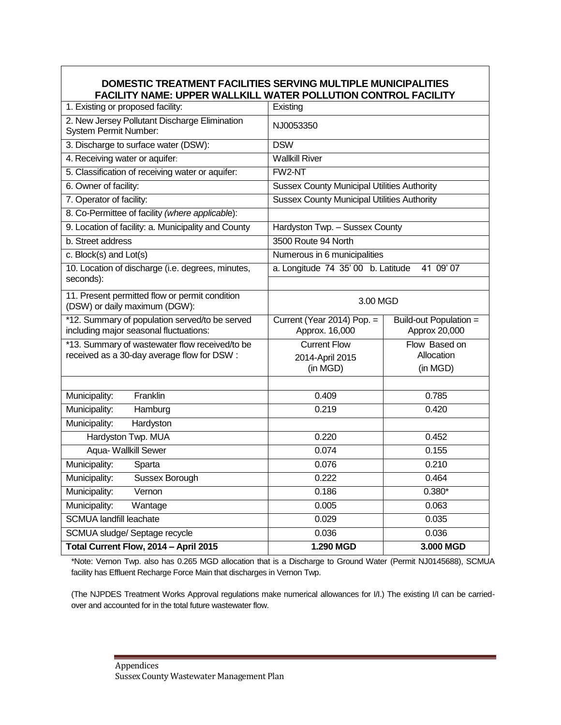## **DOMESTIC TREATMENT FACILITIES SERVING MULTIPLE MUNICIPALITIES FACILITY NAME: UPPER WALLKILL WATER POLLUTION CONTROL FACILITY**

| 1. Existing or proposed facility:                                                             | Existing                                           |                                         |
|-----------------------------------------------------------------------------------------------|----------------------------------------------------|-----------------------------------------|
| 2. New Jersey Pollutant Discharge Elimination<br><b>System Permit Number:</b>                 | NJ0053350                                          |                                         |
| 3. Discharge to surface water (DSW):                                                          | <b>DSW</b>                                         |                                         |
| 4. Receiving water or aquifer:                                                                | <b>Wallkill River</b>                              |                                         |
| 5. Classification of receiving water or aquifer:                                              | FW2-NT                                             |                                         |
| 6. Owner of facility:                                                                         | <b>Sussex County Municipal Utilities Authority</b> |                                         |
| 7. Operator of facility:                                                                      | <b>Sussex County Municipal Utilities Authority</b> |                                         |
| 8. Co-Permittee of facility (where applicable):                                               |                                                    |                                         |
| 9. Location of facility: a. Municipality and County                                           | Hardyston Twp. - Sussex County                     |                                         |
| b. Street address                                                                             | 3500 Route 94 North                                |                                         |
| c. Block(s) and Lot(s)                                                                        | Numerous in 6 municipalities                       |                                         |
| 10. Location of discharge (i.e. degrees, minutes,                                             | a. Longitude 74 35'00 b. Latitude                  | 41 09' 07                               |
| seconds):                                                                                     |                                                    |                                         |
| 11. Present permitted flow or permit condition<br>(DSW) or daily maximum (DGW):               | 3.00 MGD                                           |                                         |
| *12. Summary of population served/to be served<br>including major seasonal fluctuations:      | Current (Year 2014) Pop. =<br>Approx. 16,000       | Build-out Population =<br>Approx 20,000 |
| *13. Summary of wastewater flow received/to be<br>received as a 30-day average flow for DSW : | <b>Current Flow</b><br>2014-April 2015<br>(in MGD) | Flow Based on<br>Allocation<br>(in MGD) |
|                                                                                               |                                                    |                                         |
| Municipality:<br>Franklin                                                                     | 0.409                                              | 0.785                                   |
| Municipality:<br>Hamburg                                                                      | 0.219                                              | 0.420                                   |
| Municipality:<br>Hardyston                                                                    |                                                    |                                         |
| Hardyston Twp. MUA                                                                            | 0.220                                              | 0.452                                   |
| Aqua- Wallkill Sewer                                                                          | 0.074                                              | 0.155                                   |
| Municipality:<br>Sparta                                                                       | 0.076                                              | 0.210                                   |
| Municipality:<br>Sussex Borough                                                               | 0.222                                              | 0.464                                   |
| Municipality:<br>Vernon                                                                       | 0.186                                              | $0.380*$                                |
| Municipality:<br>Wantage                                                                      | 0.005                                              | 0.063                                   |
| <b>SCMUA landfill leachate</b>                                                                | 0.029                                              | 0.035                                   |
| SCMUA sludge/ Septage recycle                                                                 | 0.036                                              | 0.036                                   |
| Total Current Flow, 2014 - April 2015                                                         | 1.290 MGD                                          | 3.000 MGD                               |

\*Note: Vernon Twp. also has 0.265 MGD allocation that is a Discharge to Ground Water (Permit NJ0145688), SCMUA facility has Effluent Recharge Force Main that discharges in Vernon Twp.

(The NJPDES Treatment Works Approval regulations make numerical allowances for I/I.) The existing I/I can be carriedover and accounted for in the total future wastewater flow.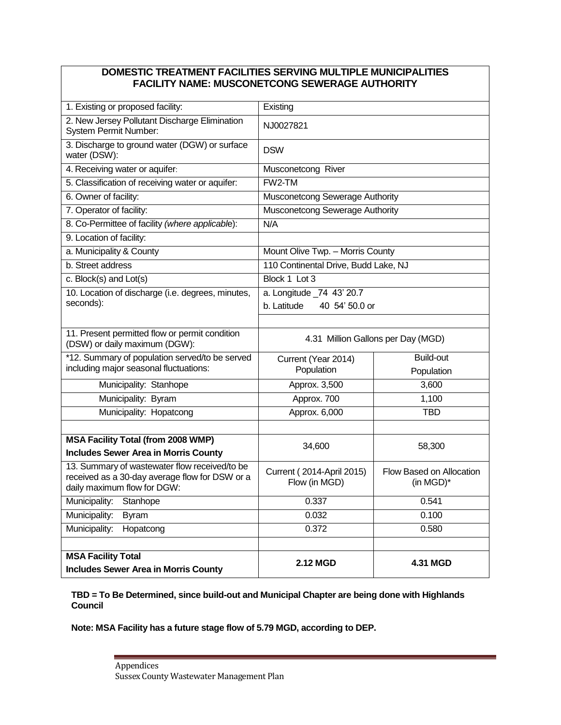## **DOMESTIC TREATMENT FACILITIES SERVING MULTIPLE MUNICIPALITIES FACILITY NAME: MUSCONETCONG SEWERAGE AUTHORITY**

| 1. Existing or proposed facility:                                                                                              | Existing                                   |                                       |  |  |  |
|--------------------------------------------------------------------------------------------------------------------------------|--------------------------------------------|---------------------------------------|--|--|--|
| 2. New Jersey Pollutant Discharge Elimination<br><b>System Permit Number:</b>                                                  | NJ0027821                                  |                                       |  |  |  |
| 3. Discharge to ground water (DGW) or surface<br>water (DSW):                                                                  | <b>DSW</b>                                 |                                       |  |  |  |
| 4. Receiving water or aquifer:                                                                                                 | Musconetcong River                         |                                       |  |  |  |
| 5. Classification of receiving water or aquifer:                                                                               | FW2-TM                                     |                                       |  |  |  |
| 6. Owner of facility:                                                                                                          | Musconetcong Sewerage Authority            |                                       |  |  |  |
| 7. Operator of facility:                                                                                                       | Musconetcong Sewerage Authority            |                                       |  |  |  |
| 8. Co-Permittee of facility (where applicable):                                                                                | N/A                                        |                                       |  |  |  |
| 9. Location of facility:                                                                                                       |                                            |                                       |  |  |  |
| a. Municipality & County                                                                                                       | Mount Olive Twp. - Morris County           |                                       |  |  |  |
| b. Street address                                                                                                              | 110 Continental Drive, Budd Lake, NJ       |                                       |  |  |  |
| c. Block(s) and Lot(s)                                                                                                         | Block 1 Lot 3                              |                                       |  |  |  |
| 10. Location of discharge (i.e. degrees, minutes,                                                                              | a. Longitude _74 43' 20.7                  |                                       |  |  |  |
| seconds):                                                                                                                      | b. Latitude<br>40 54' 50.0 or              |                                       |  |  |  |
|                                                                                                                                |                                            |                                       |  |  |  |
| 11. Present permitted flow or permit condition<br>(DSW) or daily maximum (DGW):                                                | 4.31 Million Gallons per Day (MGD)         |                                       |  |  |  |
| *12. Summary of population served/to be served<br>including major seasonal fluctuations:                                       | Current (Year 2014)<br>Population          | <b>Build-out</b><br>Population        |  |  |  |
| Municipality: Stanhope                                                                                                         | Approx. 3,500                              | 3,600                                 |  |  |  |
| Municipality: Byram                                                                                                            | Approx. 700                                | 1,100                                 |  |  |  |
| Municipality: Hopatcong                                                                                                        | Approx. 6,000                              | <b>TBD</b>                            |  |  |  |
|                                                                                                                                |                                            |                                       |  |  |  |
| <b>MSA Facility Total (from 2008 WMP)</b><br><b>Includes Sewer Area in Morris County</b>                                       | 34,600                                     | 58,300                                |  |  |  |
| 13. Summary of wastewater flow received/to be<br>received as a 30-day average flow for DSW or a<br>daily maximum flow for DGW: | Current (2014-April 2015)<br>Flow (in MGD) | Flow Based on Allocation<br>(in MGD)* |  |  |  |
| Municipality: Stanhope                                                                                                         | 0.337                                      | 0.541                                 |  |  |  |
| Municipality:<br><b>Byram</b>                                                                                                  | 0.032                                      | 0.100                                 |  |  |  |
| Municipality:<br>Hopatcong                                                                                                     | 0.372                                      | 0.580                                 |  |  |  |
|                                                                                                                                |                                            |                                       |  |  |  |
| <b>MSA Facility Total</b><br><b>Includes Sewer Area in Morris County</b>                                                       | 2.12 MGD                                   | <b>4.31 MGD</b>                       |  |  |  |

**TBD = To Be Determined, since build-out and Municipal Chapter are being done with Highlands Council**

**Note: MSA Facility has a future stage flow of 5.79 MGD, according to DEP.**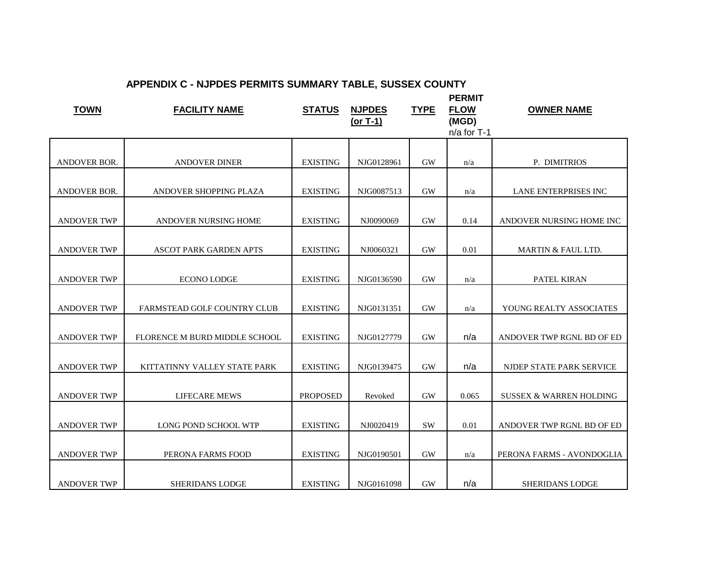## **TOWN FACILITY NAME STATUS NJPDES TYPE FLOW OWNER NAME (or T-1) (MGD)** n/a for T-1 ANDOVER BOR. ANDOVER DINER FOR ANDOVER DINER FOR A RESERVED AND EXISTING NJG0128961 GW n/a p. DIMITRIOS ANDOVER BOR. ANDOVER SHOPPING PLAZA | EXISTING | NJG0087513 | GW | n/a | LANE ENTERPRISES INC ANDOVER TWP ANDOVER NURSING HOME FXISTING NJ0090069 GW 0.14 ANDOVER NURSING HOME INC ANDOVER TWP ASCOT PARK GARDEN APTS RXISTING NJ0060321 GW 0.01 MARTIN & FAUL LTD. ANDOVER TWP ECONO LODGE RISTING NJG0136590 GW n/a PATEL KIRAN ANDOVER TWP FARMSTEAD GOLF COUNTRY CLUB | EXISTING | NJG0131351 | GW | n/a | YOUNG REALTY ASSOCIATES ANDOVER TWP FLORENCE M BURD MIDDLE SCHOOL | EXISTING NJG0127779 | GW | n/a | ANDOVER TWP RGNL BD OF ED ANDOVER TWP KITTATINNY VALLEY STATE PARK | EXISTING | NJG0139475 | GW | n/a | NJDEP STATE PARK SERVICE ANDOVER TWP LIFECARE MEWS PROPOSED Revoked GW 0.065 SUSSEX & WARREN HOLDING ANDOVER TWP LONG POND SCHOOL WTP EXISTING NJ0020419 SW 0.01 ANDOVER TWP RGNL BD OF ED ANDOVER TWP PERONA FARMS FOOD EXISTING NJG0190501 GW n/a PERONA FARMS - AVONDOGLIA ANDOVER TWP SHERIDANS LODGE FXISTING NJG0161098 GW n/a SHERIDANS LODGE

**PERMIT**

**APPENDIX C - NJPDES PERMITS SUMMARY TABLE, SUSSEX COUNTY**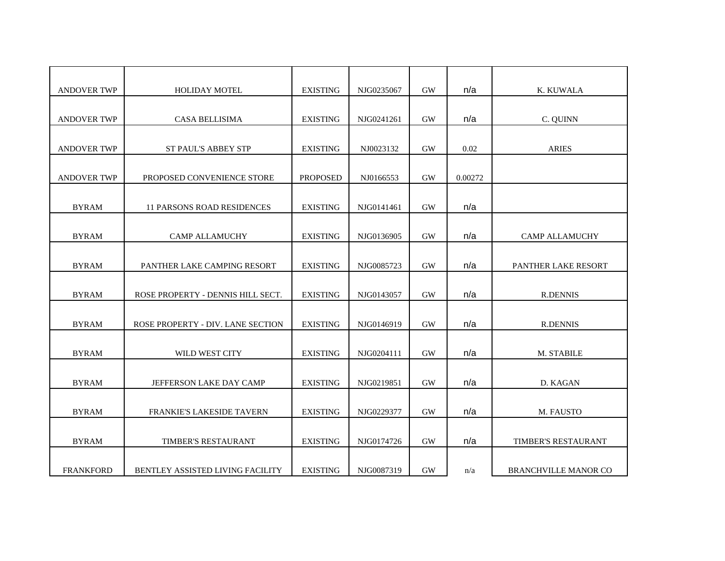| <b>ANDOVER TWP</b> | <b>HOLIDAY MOTEL</b>              | <b>EXISTING</b> | NJG0235067 | <b>GW</b> | n/a     | K. KUWALA                   |
|--------------------|-----------------------------------|-----------------|------------|-----------|---------|-----------------------------|
| <b>ANDOVER TWP</b> | <b>CASA BELLISIMA</b>             | <b>EXISTING</b> | NJG0241261 | <b>GW</b> | n/a     | C. QUINN                    |
| <b>ANDOVER TWP</b> | <b>ST PAUL'S ABBEY STP</b>        | <b>EXISTING</b> | NJ0023132  | <b>GW</b> | 0.02    | <b>ARIES</b>                |
|                    |                                   |                 |            |           |         |                             |
| <b>ANDOVER TWP</b> | PROPOSED CONVENIENCE STORE        | <b>PROPOSED</b> | NJ0166553  | <b>GW</b> | 0.00272 |                             |
| <b>BYRAM</b>       | 11 PARSONS ROAD RESIDENCES        | <b>EXISTING</b> | NJG0141461 | <b>GW</b> | n/a     |                             |
| <b>BYRAM</b>       | <b>CAMP ALLAMUCHY</b>             | <b>EXISTING</b> | NJG0136905 | <b>GW</b> | n/a     | <b>CAMP ALLAMUCHY</b>       |
| <b>BYRAM</b>       | PANTHER LAKE CAMPING RESORT       | <b>EXISTING</b> | NJG0085723 | <b>GW</b> | n/a     | PANTHER LAKE RESORT         |
| <b>BYRAM</b>       | ROSE PROPERTY - DENNIS HILL SECT. | <b>EXISTING</b> | NJG0143057 | <b>GW</b> | n/a     | <b>R.DENNIS</b>             |
| <b>BYRAM</b>       | ROSE PROPERTY - DIV. LANE SECTION | <b>EXISTING</b> | NJG0146919 | <b>GW</b> | n/a     | <b>R.DENNIS</b>             |
| <b>BYRAM</b>       | WILD WEST CITY                    | <b>EXISTING</b> | NJG0204111 | <b>GW</b> | n/a     | M. STABILE                  |
| <b>BYRAM</b>       | JEFFERSON LAKE DAY CAMP           | <b>EXISTING</b> | NJG0219851 | <b>GW</b> | n/a     | D. KAGAN                    |
| <b>BYRAM</b>       | <b>FRANKIE'S LAKESIDE TAVERN</b>  | <b>EXISTING</b> | NJG0229377 | <b>GW</b> | n/a     | M. FAUSTO                   |
| <b>BYRAM</b>       | TIMBER'S RESTAURANT               | <b>EXISTING</b> | NJG0174726 | <b>GW</b> | n/a     | TIMBER'S RESTAURANT         |
| <b>FRANKFORD</b>   | BENTLEY ASSISTED LIVING FACILITY  | <b>EXISTING</b> | NJG0087319 | <b>GW</b> | n/a     | <b>BRANCHVILLE MANOR CO</b> |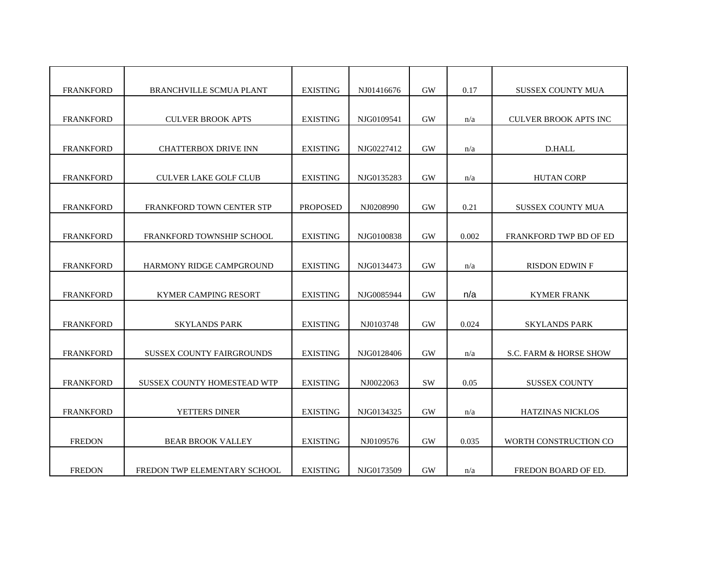| <b>FRANKFORD</b> | BRANCHVILLE SCMUA PLANT          | <b>EXISTING</b> | NJ01416676 | <b>GW</b> | 0.17  | <b>SUSSEX COUNTY MUA</b>     |
|------------------|----------------------------------|-----------------|------------|-----------|-------|------------------------------|
| <b>FRANKFORD</b> | <b>CULVER BROOK APTS</b>         | <b>EXISTING</b> | NJG0109541 | <b>GW</b> | n/a   | <b>CULVER BROOK APTS INC</b> |
| <b>FRANKFORD</b> | <b>CHATTERBOX DRIVE INN</b>      | <b>EXISTING</b> | NJG0227412 | <b>GW</b> | n/a   | <b>D.HALL</b>                |
| <b>FRANKFORD</b> | <b>CULVER LAKE GOLF CLUB</b>     | <b>EXISTING</b> | NJG0135283 | <b>GW</b> | n/a   | <b>HUTAN CORP</b>            |
| <b>FRANKFORD</b> | FRANKFORD TOWN CENTER STP        | <b>PROPOSED</b> | NJ0208990  | <b>GW</b> | 0.21  | <b>SUSSEX COUNTY MUA</b>     |
| <b>FRANKFORD</b> | <b>FRANKFORD TOWNSHIP SCHOOL</b> | <b>EXISTING</b> | NJG0100838 | <b>GW</b> | 0.002 | FRANKFORD TWP BD OF ED       |
| <b>FRANKFORD</b> | HARMONY RIDGE CAMPGROUND         | <b>EXISTING</b> | NJG0134473 | <b>GW</b> | n/a   | <b>RISDON EDWIN F</b>        |
| <b>FRANKFORD</b> | <b>KYMER CAMPING RESORT</b>      | <b>EXISTING</b> | NJG0085944 | GW        | n/a   | <b>KYMER FRANK</b>           |
| <b>FRANKFORD</b> | <b>SKYLANDS PARK</b>             | <b>EXISTING</b> | NJ0103748  | <b>GW</b> | 0.024 | <b>SKYLANDS PARK</b>         |
| <b>FRANKFORD</b> | <b>SUSSEX COUNTY FAIRGROUNDS</b> | <b>EXISTING</b> | NJG0128406 | <b>GW</b> | n/a   | S.C. FARM & HORSE SHOW       |
| <b>FRANKFORD</b> | SUSSEX COUNTY HOMESTEAD WTP      | <b>EXISTING</b> | NJ0022063  | <b>SW</b> | 0.05  | <b>SUSSEX COUNTY</b>         |
| <b>FRANKFORD</b> | YETTERS DINER                    | <b>EXISTING</b> | NJG0134325 | <b>GW</b> | n/a   | <b>HATZINAS NICKLOS</b>      |
| <b>FREDON</b>    | <b>BEAR BROOK VALLEY</b>         | <b>EXISTING</b> | NJ0109576  | <b>GW</b> | 0.035 | WORTH CONSTRUCTION CO        |
| <b>FREDON</b>    | FREDON TWP ELEMENTARY SCHOOL     | <b>EXISTING</b> | NJG0173509 | <b>GW</b> | n/a   | FREDON BOARD OF ED.          |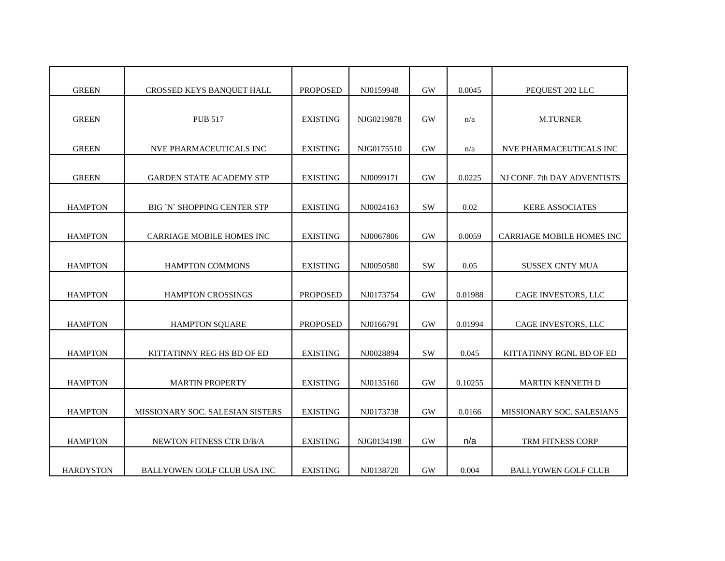| <b>GREEN</b>     | CROSSED KEYS BANQUET HALL        | <b>PROPOSED</b> | NJ0159948  | <b>GW</b>     | 0.0045  | PEQUEST 202 LLC             |
|------------------|----------------------------------|-----------------|------------|---------------|---------|-----------------------------|
| <b>GREEN</b>     | <b>PUB 517</b>                   | <b>EXISTING</b> | NJG0219878 | <b>GW</b>     | n/a     | M.TURNER                    |
| <b>GREEN</b>     | NVE PHARMACEUTICALS INC          | <b>EXISTING</b> | NJG0175510 | <b>GW</b>     | n/a     | NVE PHARMACEUTICALS INC     |
| <b>GREEN</b>     | <b>GARDEN STATE ACADEMY STP</b>  | <b>EXISTING</b> | NJ0099171  | <b>GW</b>     | 0.0225  | NJ CONF. 7th DAY ADVENTISTS |
| <b>HAMPTON</b>   | BIG `N` SHOPPING CENTER STP      | <b>EXISTING</b> | NJ0024163  | <b>SW</b>     | 0.02    | KERE ASSOCIATES             |
| <b>HAMPTON</b>   | CARRIAGE MOBILE HOMES INC        | <b>EXISTING</b> | NJ0067806  | <b>GW</b>     | 0.0059  | CARRIAGE MOBILE HOMES INC   |
| <b>HAMPTON</b>   | HAMPTON COMMONS                  | <b>EXISTING</b> | NJ0050580  | <b>SW</b>     | 0.05    | <b>SUSSEX CNTY MUA</b>      |
| <b>HAMPTON</b>   | <b>HAMPTON CROSSINGS</b>         | <b>PROPOSED</b> | NJ0173754  | <b>GW</b>     | 0.01988 | CAGE INVESTORS, LLC         |
| <b>HAMPTON</b>   | <b>HAMPTON SQUARE</b>            | <b>PROPOSED</b> | NJ0166791  | <b>GW</b>     | 0.01994 | CAGE INVESTORS, LLC         |
| <b>HAMPTON</b>   | KITTATINNY REG HS BD OF ED       | <b>EXISTING</b> | NJ0028894  | <b>SW</b>     | 0.045   | KITTATINNY RGNL BD OF ED    |
| <b>HAMPTON</b>   | <b>MARTIN PROPERTY</b>           | <b>EXISTING</b> | NJ0135160  | <b>GW</b>     | 0.10255 | <b>MARTIN KENNETH D</b>     |
| <b>HAMPTON</b>   | MISSIONARY SOC. SALESIAN SISTERS | <b>EXISTING</b> | NJ0173738  | <b>GW</b>     | 0.0166  | MISSIONARY SOC. SALESIANS   |
| <b>HAMPTON</b>   | NEWTON FITNESS CTR D/B/A         | <b>EXISTING</b> | NJG0134198 | $\mathrm{GW}$ | n/a     | TRM FITNESS CORP            |
| <b>HARDYSTON</b> | BALLYOWEN GOLF CLUB USA INC      | <b>EXISTING</b> | NJ0138720  | <b>GW</b>     | 0.004   | <b>BALLYOWEN GOLF CLUB</b>  |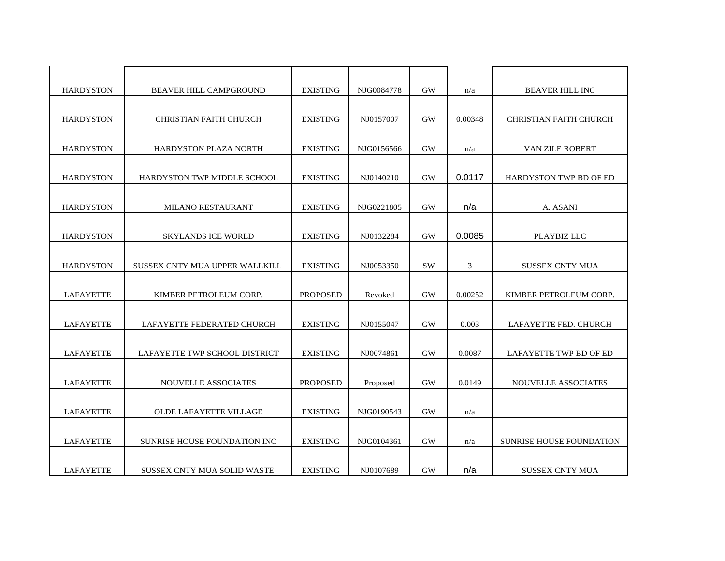| <b>HARDYSTON</b> | <b>BEAVER HILL CAMPGROUND</b>  | <b>EXISTING</b> | NJG0084778 | <b>GW</b>     | n/a     | <b>BEAVER HILL INC</b>        |
|------------------|--------------------------------|-----------------|------------|---------------|---------|-------------------------------|
| <b>HARDYSTON</b> | <b>CHRISTIAN FAITH CHURCH</b>  | <b>EXISTING</b> | NJ0157007  | <b>GW</b>     | 0.00348 | <b>CHRISTIAN FAITH CHURCH</b> |
|                  |                                |                 |            |               |         |                               |
| <b>HARDYSTON</b> | HARDYSTON PLAZA NORTH          | <b>EXISTING</b> | NJG0156566 | <b>GW</b>     | n/a     | VAN ZILE ROBERT               |
| <b>HARDYSTON</b> | HARDYSTON TWP MIDDLE SCHOOL    | <b>EXISTING</b> | NJ0140210  | <b>GW</b>     | 0.0117  | HARDYSTON TWP BD OF ED        |
| <b>HARDYSTON</b> | MILANO RESTAURANT              | <b>EXISTING</b> | NJG0221805 | $\mathrm{GW}$ | n/a     | A. ASANI                      |
|                  |                                |                 |            |               |         |                               |
| <b>HARDYSTON</b> | <b>SKYLANDS ICE WORLD</b>      | <b>EXISTING</b> | NJ0132284  | <b>GW</b>     | 0.0085  | PLAYBIZ LLC                   |
| <b>HARDYSTON</b> | SUSSEX CNTY MUA UPPER WALLKILL | <b>EXISTING</b> | NJ0053350  | <b>SW</b>     | 3       | <b>SUSSEX CNTY MUA</b>        |
| <b>LAFAYETTE</b> | KIMBER PETROLEUM CORP.         | <b>PROPOSED</b> | Revoked    | <b>GW</b>     | 0.00252 | KIMBER PETROLEUM CORP.        |
|                  |                                |                 |            |               |         |                               |
| <b>LAFAYETTE</b> | LAFAYETTE FEDERATED CHURCH     | <b>EXISTING</b> | NJ0155047  | <b>GW</b>     | 0.003   | <b>LAFAYETTE FED. CHURCH</b>  |
| <b>LAFAYETTE</b> | LAFAYETTE TWP SCHOOL DISTRICT  | <b>EXISTING</b> | NJ0074861  | <b>GW</b>     | 0.0087  | LAFAYETTE TWP BD OF ED        |
| <b>LAFAYETTE</b> | <b>NOUVELLE ASSOCIATES</b>     | <b>PROPOSED</b> | Proposed   | <b>GW</b>     | 0.0149  | <b>NOUVELLE ASSOCIATES</b>    |
|                  |                                |                 |            |               |         |                               |
| <b>LAFAYETTE</b> | OLDE LAFAYETTE VILLAGE         | <b>EXISTING</b> | NJG0190543 | <b>GW</b>     | n/a     |                               |
| <b>LAFAYETTE</b> | SUNRISE HOUSE FOUNDATION INC   | <b>EXISTING</b> | NJG0104361 | <b>GW</b>     | n/a     | SUNRISE HOUSE FOUNDATION      |
|                  |                                |                 |            |               |         |                               |
| <b>LAFAYETTE</b> | SUSSEX CNTY MUA SOLID WASTE    | <b>EXISTING</b> | NJ0107689  | <b>GW</b>     | n/a     | <b>SUSSEX CNTY MUA</b>        |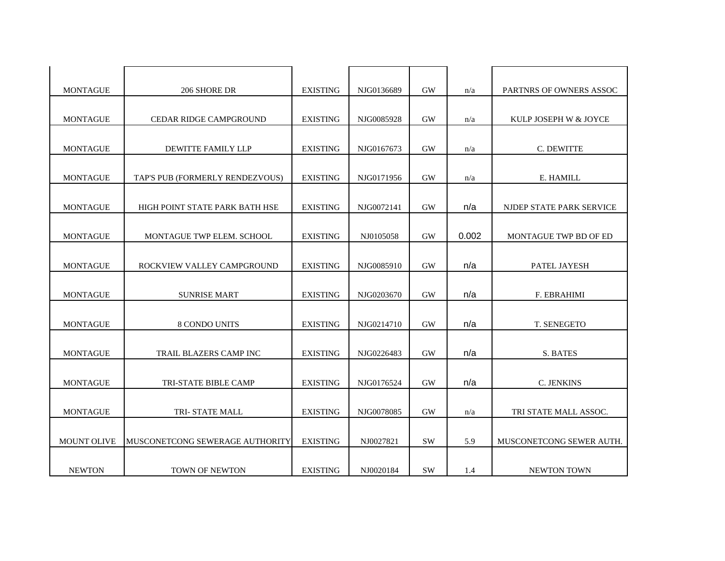| <b>MONTAGUE</b>    | 206 SHORE DR                    | <b>EXISTING</b> | NJG0136689 | $\rm GW$  | n/a   | PARTNRS OF OWNERS ASSOC  |
|--------------------|---------------------------------|-----------------|------------|-----------|-------|--------------------------|
|                    |                                 |                 |            |           |       |                          |
| <b>MONTAGUE</b>    | <b>CEDAR RIDGE CAMPGROUND</b>   | <b>EXISTING</b> | NJG0085928 | <b>GW</b> | n/a   | KULP JOSEPH W & JOYCE    |
| <b>MONTAGUE</b>    | DEWITTE FAMILY LLP              | <b>EXISTING</b> | NJG0167673 | GW        | n/a   | C. DEWITTE               |
|                    |                                 |                 |            |           |       |                          |
| <b>MONTAGUE</b>    | TAP'S PUB (FORMERLY RENDEZVOUS) | <b>EXISTING</b> | NJG0171956 | <b>GW</b> | n/a   | E. HAMILL                |
|                    |                                 |                 |            |           |       |                          |
| <b>MONTAGUE</b>    | HIGH POINT STATE PARK BATH HSE  | <b>EXISTING</b> | NJG0072141 | <b>GW</b> | n/a   | NJDEP STATE PARK SERVICE |
|                    |                                 |                 |            |           |       |                          |
| <b>MONTAGUE</b>    | MONTAGUE TWP ELEM. SCHOOL       | <b>EXISTING</b> | NJ0105058  | <b>GW</b> | 0.002 | MONTAGUE TWP BD OF ED    |
|                    |                                 |                 |            |           |       |                          |
| <b>MONTAGUE</b>    | ROCKVIEW VALLEY CAMPGROUND      | <b>EXISTING</b> | NJG0085910 | <b>GW</b> | n/a   | PATEL JAYESH             |
|                    |                                 |                 |            |           |       |                          |
| <b>MONTAGUE</b>    | <b>SUNRISE MART</b>             | <b>EXISTING</b> | NJG0203670 | <b>GW</b> | n/a   | F. EBRAHIMI              |
|                    |                                 |                 |            |           |       |                          |
| <b>MONTAGUE</b>    | <b>8 CONDO UNITS</b>            | <b>EXISTING</b> | NJG0214710 | <b>GW</b> | n/a   | T. SENEGETO              |
|                    |                                 |                 |            |           |       |                          |
| <b>MONTAGUE</b>    | <b>TRAIL BLAZERS CAMP INC</b>   | <b>EXISTING</b> | NJG0226483 | <b>GW</b> | n/a   | S. BATES                 |
|                    |                                 |                 |            |           |       |                          |
| <b>MONTAGUE</b>    | <b>TRI-STATE BIBLE CAMP</b>     | <b>EXISTING</b> | NJG0176524 | <b>GW</b> | n/a   | <b>C. JENKINS</b>        |
|                    |                                 |                 |            |           |       |                          |
| <b>MONTAGUE</b>    | TRI-STATE MALL                  | <b>EXISTING</b> | NJG0078085 | <b>GW</b> | n/a   | TRI STATE MALL ASSOC.    |
|                    |                                 |                 |            |           |       |                          |
| <b>MOUNT OLIVE</b> | MUSCONETCONG SEWERAGE AUTHORITY | <b>EXISTING</b> | NJ0027821  | <b>SW</b> | 5.9   | MUSCONETCONG SEWER AUTH. |
|                    |                                 |                 |            |           |       |                          |
| <b>NEWTON</b>      | <b>TOWN OF NEWTON</b>           | <b>EXISTING</b> | NJ0020184  | <b>SW</b> | 1.4   | <b>NEWTON TOWN</b>       |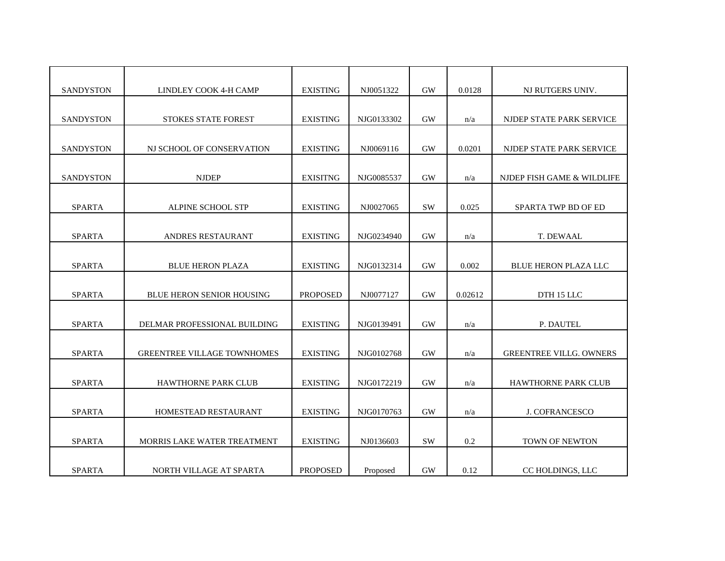| <b>SANDYSTON</b> | LINDLEY COOK 4-H CAMP              | <b>EXISTING</b> | NJ0051322  | <b>GW</b> | 0.0128  | NJ RUTGERS UNIV.               |
|------------------|------------------------------------|-----------------|------------|-----------|---------|--------------------------------|
| <b>SANDYSTON</b> | <b>STOKES STATE FOREST</b>         | <b>EXISTING</b> | NJG0133302 | <b>GW</b> | n/a     | NJDEP STATE PARK SERVICE       |
| <b>SANDYSTON</b> | NJ SCHOOL OF CONSERVATION          | <b>EXISTING</b> | NJ0069116  | <b>GW</b> | 0.0201  | NJDEP STATE PARK SERVICE       |
| <b>SANDYSTON</b> | <b>NJDEP</b>                       | <b>EXISITNG</b> | NJG0085537 | <b>GW</b> | n/a     | NJDEP FISH GAME & WILDLIFE     |
| <b>SPARTA</b>    | <b>ALPINE SCHOOL STP</b>           | <b>EXISTING</b> | NJ0027065  | <b>SW</b> | 0.025   | SPARTA TWP BD OF ED            |
| <b>SPARTA</b>    | ANDRES RESTAURANT                  | <b>EXISTING</b> | NJG0234940 | <b>GW</b> | n/a     | T. DEWAAL                      |
| <b>SPARTA</b>    | <b>BLUE HERON PLAZA</b>            | <b>EXISTING</b> | NJG0132314 | <b>GW</b> | 0.002   | <b>BLUE HERON PLAZA LLC</b>    |
| <b>SPARTA</b>    | <b>BLUE HERON SENIOR HOUSING</b>   | <b>PROPOSED</b> | NJ0077127  | GW        | 0.02612 | DTH 15 LLC                     |
| <b>SPARTA</b>    | DELMAR PROFESSIONAL BUILDING       | <b>EXISTING</b> | NJG0139491 | <b>GW</b> | n/a     | P. DAUTEL                      |
| <b>SPARTA</b>    | <b>GREENTREE VILLAGE TOWNHOMES</b> | <b>EXISTING</b> | NJG0102768 | <b>GW</b> | n/a     | <b>GREENTREE VILLG. OWNERS</b> |
| <b>SPARTA</b>    | <b>HAWTHORNE PARK CLUB</b>         | <b>EXISTING</b> | NJG0172219 | <b>GW</b> | n/a     | <b>HAWTHORNE PARK CLUB</b>     |
| <b>SPARTA</b>    | HOMESTEAD RESTAURANT               | <b>EXISTING</b> | NJG0170763 | <b>GW</b> | n/a     | <b>J. COFRANCESCO</b>          |
| <b>SPARTA</b>    | MORRIS LAKE WATER TREATMENT        | <b>EXISTING</b> | NJ0136603  | <b>SW</b> | 0.2     | TOWN OF NEWTON                 |
| <b>SPARTA</b>    | NORTH VILLAGE AT SPARTA            | <b>PROPOSED</b> | Proposed   | <b>GW</b> | 0.12    | CC HOLDINGS, LLC               |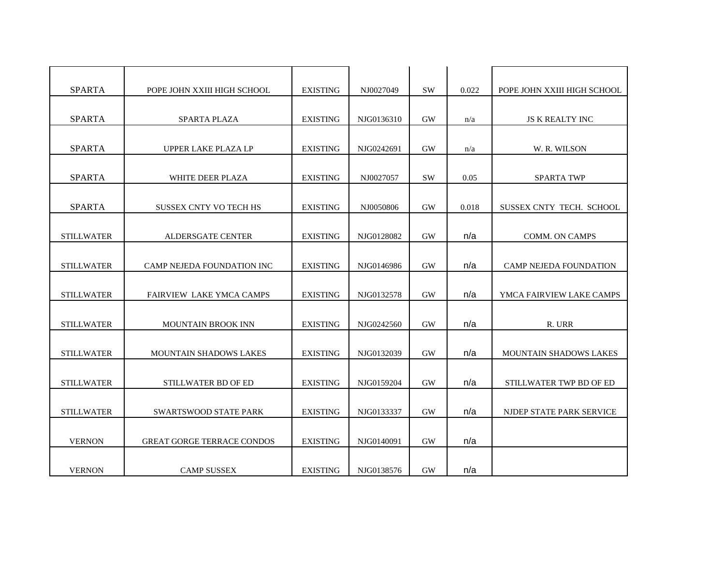| <b>SPARTA</b>     | POPE JOHN XXIII HIGH SCHOOL       | <b>EXISTING</b> | NJ0027049  | <b>SW</b> | 0.022 | POPE JOHN XXIII HIGH SCHOOL   |
|-------------------|-----------------------------------|-----------------|------------|-----------|-------|-------------------------------|
| <b>SPARTA</b>     | SPARTA PLAZA                      | <b>EXISTING</b> | NJG0136310 | GW        | n/a   | <b>JS K REALTY INC</b>        |
| <b>SPARTA</b>     | UPPER LAKE PLAZA LP               | <b>EXISTING</b> | NJG0242691 | <b>GW</b> | n/a   | W. R. WILSON                  |
| <b>SPARTA</b>     | WHITE DEER PLAZA                  | <b>EXISTING</b> | NJ0027057  | <b>SW</b> | 0.05  | <b>SPARTA TWP</b>             |
| <b>SPARTA</b>     | <b>SUSSEX CNTY VO TECH HS</b>     | <b>EXISTING</b> | NJ0050806  | <b>GW</b> | 0.018 | SUSSEX CNTY TECH. SCHOOL      |
| <b>STILLWATER</b> | ALDERSGATE CENTER                 | <b>EXISTING</b> | NJG0128082 | <b>GW</b> | n/a   | <b>COMM. ON CAMPS</b>         |
| <b>STILLWATER</b> | CAMP NEJEDA FOUNDATION INC        | <b>EXISTING</b> | NJG0146986 | $\rm GW$  | n/a   | <b>CAMP NEJEDA FOUNDATION</b> |
| <b>STILLWATER</b> | <b>FAIRVIEW LAKE YMCA CAMPS</b>   | <b>EXISTING</b> | NJG0132578 | GW        | n/a   | YMCA FAIRVIEW LAKE CAMPS      |
| <b>STILLWATER</b> | <b>MOUNTAIN BROOK INN</b>         | <b>EXISTING</b> | NJG0242560 | <b>GW</b> | n/a   | R. URR                        |
| <b>STILLWATER</b> | <b>MOUNTAIN SHADOWS LAKES</b>     | <b>EXISTING</b> | NJG0132039 | <b>GW</b> | n/a   | <b>MOUNTAIN SHADOWS LAKES</b> |
| <b>STILLWATER</b> | <b>STILLWATER BD OF ED</b>        | <b>EXISTING</b> | NJG0159204 | <b>GW</b> | n/a   | STILLWATER TWP BD OF ED       |
| <b>STILLWATER</b> | <b>SWARTSWOOD STATE PARK</b>      | <b>EXISTING</b> | NJG0133337 | <b>GW</b> | n/a   | NJDEP STATE PARK SERVICE      |
| <b>VERNON</b>     | <b>GREAT GORGE TERRACE CONDOS</b> | <b>EXISTING</b> | NJG0140091 | <b>GW</b> | n/a   |                               |
| <b>VERNON</b>     | <b>CAMP SUSSEX</b>                | <b>EXISTING</b> | NJG0138576 | <b>GW</b> | n/a   |                               |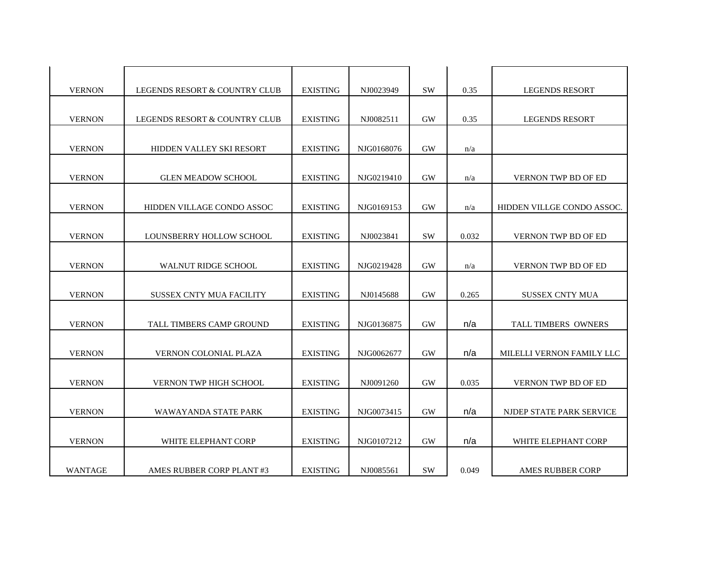| <b>VERNON</b>  | LEGENDS RESORT & COUNTRY CLUB   | <b>EXISTING</b> | NJ0023949  | <b>SW</b> | 0.35  | <b>LEGENDS RESORT</b>      |
|----------------|---------------------------------|-----------------|------------|-----------|-------|----------------------------|
| <b>VERNON</b>  | LEGENDS RESORT & COUNTRY CLUB   | <b>EXISTING</b> | NJ0082511  | <b>GW</b> | 0.35  | <b>LEGENDS RESORT</b>      |
|                |                                 |                 |            |           |       |                            |
| <b>VERNON</b>  | <b>HIDDEN VALLEY SKI RESORT</b> | <b>EXISTING</b> | NJG0168076 | GW        | n/a   |                            |
| <b>VERNON</b>  | <b>GLEN MEADOW SCHOOL</b>       | <b>EXISTING</b> | NJG0219410 | <b>GW</b> | n/a   | VERNON TWP BD OF ED        |
| <b>VERNON</b>  | HIDDEN VILLAGE CONDO ASSOC      | <b>EXISTING</b> | NJG0169153 | <b>GW</b> | n/a   | HIDDEN VILLGE CONDO ASSOC. |
| <b>VERNON</b>  | LOUNSBERRY HOLLOW SCHOOL        | <b>EXISTING</b> | NJ0023841  | <b>SW</b> | 0.032 | VERNON TWP BD OF ED        |
| <b>VERNON</b>  | <b>WALNUT RIDGE SCHOOL</b>      | <b>EXISTING</b> | NJG0219428 | <b>GW</b> | n/a   | VERNON TWP BD OF ED        |
| <b>VERNON</b>  | <b>SUSSEX CNTY MUA FACILITY</b> | <b>EXISTING</b> | NJ0145688  | <b>GW</b> | 0.265 | <b>SUSSEX CNTY MUA</b>     |
| <b>VERNON</b>  | <b>TALL TIMBERS CAMP GROUND</b> | <b>EXISTING</b> | NJG0136875 | GW        | n/a   | <b>TALL TIMBERS OWNERS</b> |
| <b>VERNON</b>  | VERNON COLONIAL PLAZA           | <b>EXISTING</b> | NJG0062677 | <b>GW</b> | n/a   | MILELLI VERNON FAMILY LLC  |
| <b>VERNON</b>  | VERNON TWP HIGH SCHOOL          | <b>EXISTING</b> | NJ0091260  | <b>GW</b> | 0.035 | <b>VERNON TWP BD OF ED</b> |
| <b>VERNON</b>  | WAWAYANDA STATE PARK            | <b>EXISTING</b> | NJG0073415 | <b>GW</b> | n/a   | NJDEP STATE PARK SERVICE   |
| <b>VERNON</b>  | WHITE ELEPHANT CORP             | <b>EXISTING</b> | NJG0107212 | <b>GW</b> | n/a   | WHITE ELEPHANT CORP        |
| <b>WANTAGE</b> | AMES RUBBER CORP PLANT#3        | <b>EXISTING</b> | NJ0085561  | <b>SW</b> | 0.049 | <b>AMES RUBBER CORP</b>    |